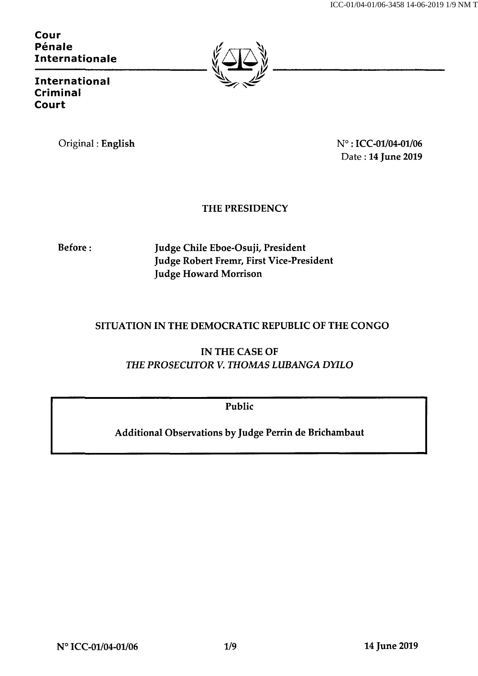Cour Pénale Internationale



Criminal Court International

Original : English  $N^{\circ}$  : ICC-01/04-01/06 Date : 14 June 2019

## THE PRESIDENCY

Before : Judge Chile Eboe-Osuji, President Judge Robert Fremr, First Vice-President Judge Howard Morrison

## SITUATION IN THE DEMOCRATIC REPUBLIC OF THE CONGO

IN THE CASE OF THE PROSECUTOR V. THOMAS LUBANGA DYILO

Public

Additional Observations by Judge Perrin de Brichambaut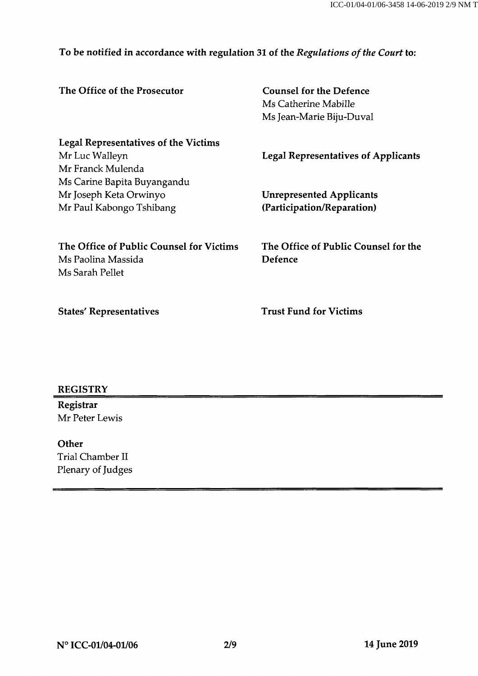## To be notified in accordance with regulation 31 of the Regulations of the Court to:

| The Office of the Prosecutor                | <b>Counsel for the Defence</b><br>Ms Catherine Mabille<br>Ms Jean-Marie Biju-Duval |
|---------------------------------------------|------------------------------------------------------------------------------------|
| <b>Legal Representatives of the Victims</b> |                                                                                    |
| Mr Luc Walleyn                              | <b>Legal Representatives of Applicants</b>                                         |
| Mr Franck Mulenda                           |                                                                                    |
| Ms Carine Bapita Buyangandu                 |                                                                                    |
| Mr Joseph Keta Orwinyo                      | <b>Unrepresented Applicants</b>                                                    |
| Mr Paul Kabongo Tshibang                    | (Participation/Reparation)                                                         |
| The Office of Public Counsel for Victims    | The Office of Public Counsel for the                                               |
| Ms Paolina Massida                          | <b>Defence</b>                                                                     |
| Ms Sarah Pellet                             |                                                                                    |
| <b>States' Representatives</b>              | <b>Trust Fund for Victims</b>                                                      |

### **REGISTRY**

Registrar Mr Peter Lewis

**Other** Trial Chamber II Plenary of Judges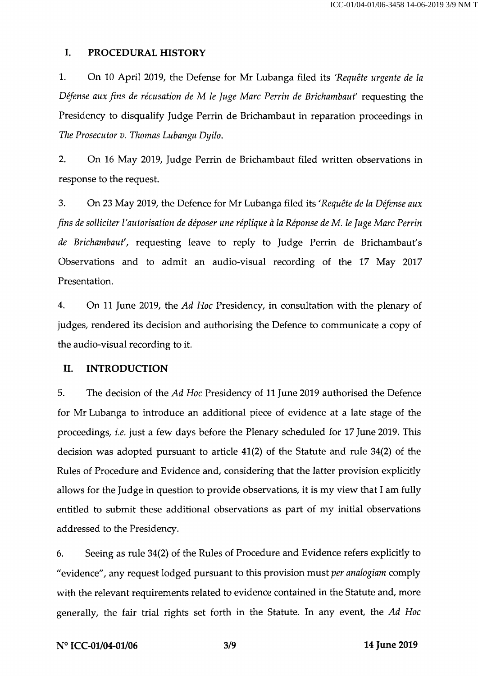#### I. PROCEDURAL HISTORY

1. On 10 April 2019, the Defense for Mr Lubanga filed its 'Requête urgente de la Défense aux fins de récusation de M le Juge Marc Perrin de Brichambaut' requesting the Presidency to disqualify Judge Perrin de Brichambaut in reparation proceedings in The Prosecutor v. Thomas Lubanga Dyilo.

2. On 16 May 2019, Judge Perrin de Brichambaut filed written observations in response to the request.

3. On 23 May 2019, the Defence for Mr Lubanga filed its 'Requête de la Défense aux fins de solliciter l'autorisation de déposer une réplique à la Réponse de M. le Juge Marc Perrin de Brichambaut', requesting leave to reply to Judge Perrin de Brichambaut's Observations and to admit an audio-visual recording of the 17 May 2017 Presentation.

4. On 11 June 2019, the Ad Hoc Presidency, in consultation with the plenary of judges, rendered its decision and authorising the Defence to communicate a copy of the audio-visual recording to it.

#### II. INTRODUCTION

5. The decision of the Ad Hoc Presidency of 11 June 2019 authorised the Defence for Mr Lubanga to introduce an additional piece of evidence at a late stage of the proceedings, i.e. just a few days before the Plenary scheduled for 17 June 2019. This decision was adopted pursuant to article 41(2) of the Statute and rule 34(2) of the Rules of Procedure and Evidence and, considering that the latter provision explicitly allows for the Judge in question to provide observations, it is my view that I am fully entitled to submit these additional observations as part of my initial observations addressed to the Presidency.

6. Seeing as rule 34(2) of the Rules of Procedure and Evidence refers explicitly to "evidence", any request lodged pursuant to this provision must per analogiam comply with the relevant requirements related to evidence contained in the Statute and, more generally, the fair trial rights set forth in the Statute. In any event, the Ad Hoc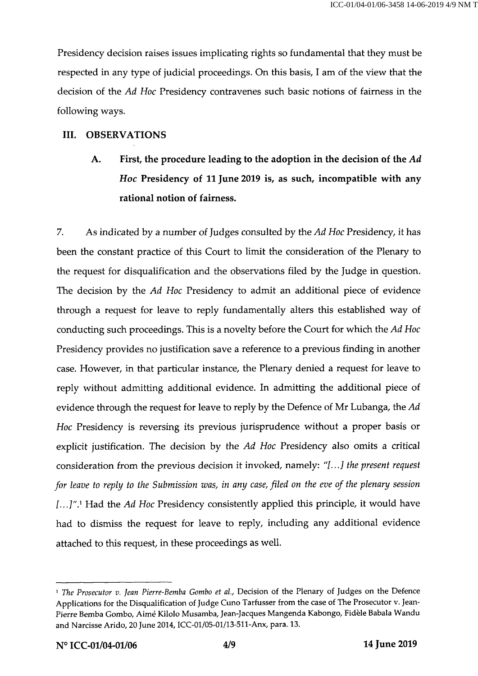Presidency decision raises issues implicating rights so fundamental that they must be respected in any type of judicial proceedings. On this basis, I am of the view that the decision of the Ad Hoc Presidency contravenes such basic notions of fairness in the following ways.

#### III. OBSERVATIONS

# A. First, the procedure leading to the adoption in the decision of the Ad Hoc Presidency of 11 June 2019 is, as such, incompatible with any rational notion of fairness.

7. As indicated by a number of Judges consulted by the Ad Hoc Presidency, it has been the constant practice of this Court to limit the consideration of the Plenary to the request for disqualification and the observations filed by the Judge in question. The decision by the Ad Hoc Presidency to admit an additional piece of evidence through a request for leave to reply fundamentally alters this established way of conducting such proceedings. This is a novelty before the Court for which the Ad Hoc Presidency provides no justification save a reference to a previous finding in another case. However, in that particular instance, the Plenary denied a request for leave to reply without admitting additional evidence. In admitting the additional piece of evidence through the request for leave to reply by the Defence of Mr Lubanga, the Ad Hoc Presidency is reversing its previous jurisprudence without a proper basis or explicit justification. The decision by the Ad Hoc Presidency also omits a critical consideration from the previous decision it invoked, namely: "[...] the present request for leave to reply to the Submission was, in any case, filed on the eve of the plenary session [...]".<sup>1</sup> Had the Ad Hoc Presidency consistently applied this principle, it would have had to dismiss the request for leave to reply, including any additional evidence attached to this request, in these proceedings as well.

<sup>&</sup>lt;sup>1</sup> The Prosecutor v. Jean Pierre-Bemba Gombo et al., Decision of the Plenary of Judges on the Defence Applications for the Disqualification of Judge Cuno Tarfusser from the case of The Prosecutor v. Jean-Pierre Bemba Gombo, Aimé Kilolo Musamba, Jean-Jacques Mangenda Kabongo, Fidèle Babala Wandu and Narcisse Arido, 20 June 2014, ICC-Ol/OS-Ol/lS-Sll-Anx, para. 13.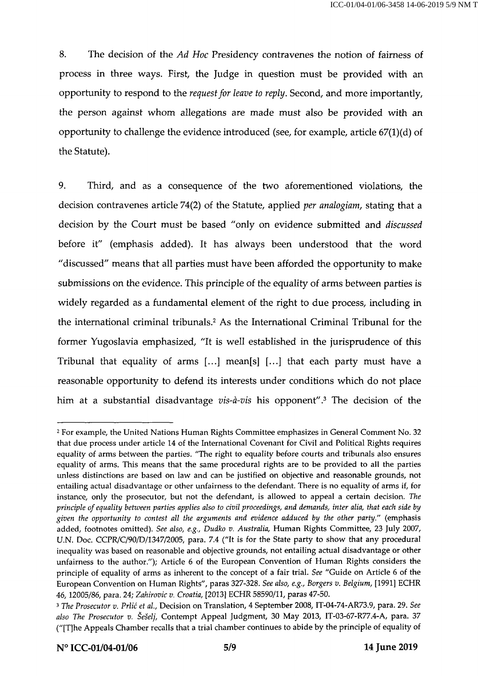8. The decision of the Ad Hoc Presidency contravenes the notion of fairness of process in three ways. First, the Judge in question must be provided with an opportunity to respond to the request for leave to reply. Second, and more importantly, the person against whom allegations are made must also be provided with an opportunity to challenge the evidence introduced (see, for example, article  $67(1)(d)$  of the Statute).

9. Third, and as a consequence of the two aforementioned violations, the decision contravenes article 74(2) of the Statute, applied per analogiam, stating that a decision by the Court must be based "only on evidence submitted and discussed before it" (emphasis added). It has always been understood that the word "discussed" means that all parties must have been afforded the opportunity to make submissions on the evidence. This principle of the equality of arms between parties is widely regarded as a fundamental element of the right to due process, including in the international criminal tribunals.2 As the International Criminal Tribunal for the former Yugoslavia emphasized, "It is well established in the jurisprudence of this Tribunal that equality of arms [...] mean[s] [...] that each party must have a reasonable opportunity to defend its interests under conditions which do not place him at a substantial disadvantage vis-à-vis his opponent".3 The decision of the

<sup>2</sup> For example, the United Nations Human Rights Committee emphasizes in General Comment No. 32 that due process under article 14 of the International Covenant for Civil and Political Rights requires equality of arms between the parties. "The right to equality before courts and tribunals also ensures equality of arms. This means that the same procedural rights are to be provided to all the parties unless distinctions are based on law and can be justified on objective and reasonable grounds, not entailing actual disadvantage or other unfairness to the defendant. There is no equality of arms if, for instance, only the prosecutor, but not the defendant, is allowed to appeal a certain decision. The principle of equality between parties applies also to civil proceedings, and demands, inter alia, that each side by given the opportunity to contest all the arguments and evidence adduced by the other party." (emphasis added, footnotes omitted). See also, e.g., Dudko v. Australia, Human Rights Committee, 23 July 2007, U.N. Doc. CCPR/C/90/D/1347/2005, para. 7.4 ("It is for the State party to show that any procedural inequality was based on reasonable and objective grounds, not entailing actual disadvantage or other unfairness to the author."); Article 6 of the European Convention of Human Rights considers the principle of equality of arms as inherent to the concept of a fair trial. See "Guide on Article 6 of the European Convention on Human Rights", paras 327-328. See also, e.g., Borgers v. Belgium, [1991] ECHR 46,12005/86, para. 24; Zahirovic v. Croatia, [2013] ECHR 58590/11, paras 47-50.

<sup>&</sup>lt;sup>3</sup> The Prosecutor v. Prlić et al., Decision on Translation, 4 September 2008, IT-04-74-AR73.9, para. 29. See also The Prosecutor v. Šešelj, Contempt Appeal Judgment, 30 May 2013, IT-03-67-R77.4-A, para. 37 ("[T]he Appeals Chamber recalls that a trial chamber continues to abide by the principle of equality of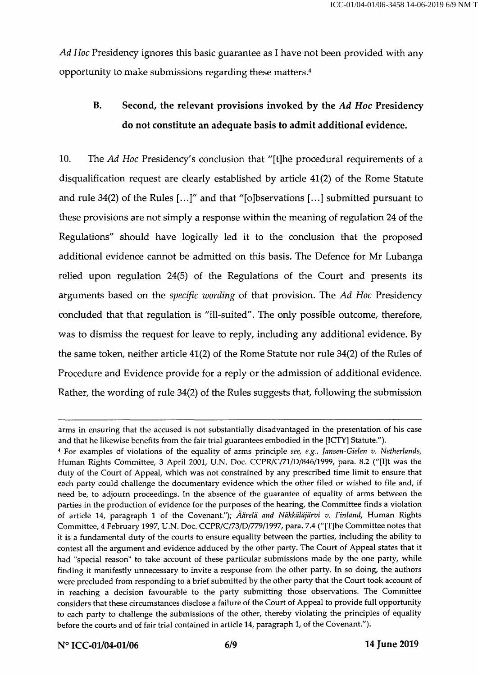Ad Hoc Presidency ignores this basic guarantee as I have not been provided with any opportunity to make submissions regarding these matters.4

## B. Second, the relevant provisions invoked by the Ad Hoc Presidency do not constitute an adequate basis to admit additional evidence.

10. The Ad Hoc Presidency's conclusion that "[t]he procedural requirements of a disqualification request are clearly established by article 41(2) of the Rome Statute and rule 34(2) of the Rules [...]" and that "[ojbservations [...] submitted pursuant to these provisions are not simply a response within the meaning of regulation 24 of the Regulations" should have logically led it to the conclusion that the proposed additional evidence cannot be admitted on this basis. The Defence for Mr Lubanga relied upon regulation 24(5) of the Regulations of the Court and presents its arguments based on the specific wording of that provision. The Ad Hoc Presidency concluded that that regulation is "ill-suited". The only possible outcome, therefore, was to dismiss the request for leave to reply, including any additional evidence. By the same token, neither article 41(2) of the Rome Statute nor rule 34(2) of the Rules of Procedure and Evidence provide for a reply or the admission of additional evidence. Rather, the wording of rule 34(2) of the Rules suggests that, following the submission

arms in ensuring that the accused is not substantially disadvantaged in the presentation of his case and that he likewise benefits from the fair trial guarantees embodied in the [ICTY] Statute.").

<sup>4</sup> For examples of violations of the equality of arms principle see, e.g., Jansen-Gielen v. Netherlands, Human Rights Committee, 3 April 2001, U.N. Doc. CCPR/C/71/D/846/1999, para. 8.2 ("[I]t was the duty of the Court of Appeal, which was not constrained by any prescribed time limit to ensure that each party could challenge the documentary evidence which the other filed or wished to file and, if need be, to adjourn proceedings. In the absence of the guarantee of equality of arms between the parties in the production of evidence for the purposes of the hearing, the Committee finds a violation of article 14, paragraph 1 of the Covenant."); Äärelä and Näkkäläjärvi v. Finland, Human Rights Committee, 4 February 1997, U.N. Doc. CCPR/C/73/D/779/1997, para. 7.4 ("[T]he Committee notes that it is a fundamental duty of the courts to ensure equality between the parties, including the ability to contest all the argument and evidence adduced by the other party. The Court of Appeal states that it had "special reason" to take account of these particular submissions made by the one party, while finding it manifestly unnecessary to invite a response from the other party. In so doing, the authors were precluded from responding to a brief submitted by the other party that the Court took account of in reaching a decision favourable to the party submitting those observations. The Committee considers that these circumstances disclose a failure of the Court of Appeal to provide full opportunity to each party to challenge the submissions of the other, thereby violating the principles of equality before the courts and of fair trial contained in article 14, paragraph 1, of the Covenant.").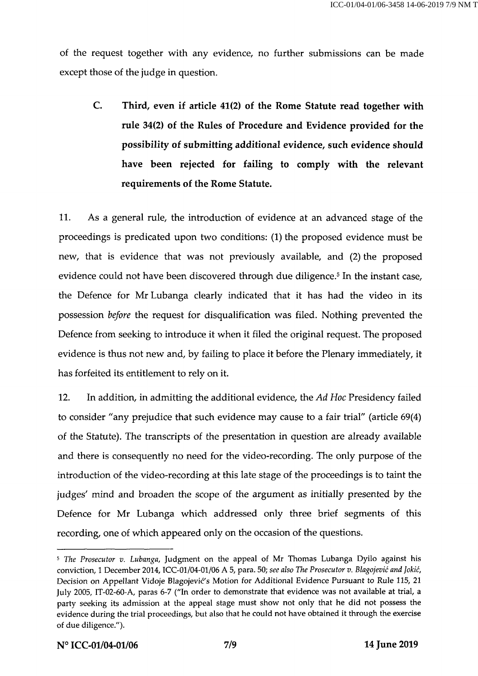of the request together with any evidence, no further submissions can be made except those of the judge in question.

C. Third, even if article 41(2) of the Rome Statute read together with rule 34(2) of the Rules of Procedure and Evidence provided for the possibility of submitting additional evidence, such evidence should have been rejected for failing to comply with the relevant requirements of the Rome Statute.

11. As a general rule, the introduction of evidence at an advanced stage of the proceedings is predicated upon two conditions: (1) the proposed evidence must be new, that is evidence that was not previously available, and (2) the proposed evidence could not have been discovered through due diligence.<sup>5</sup> In the instant case, the Defence for Mr Lubanga clearly indicated that it has had the video in its possession before the request for disqualification was filed. Nothing prevented the Defence from seeking to introduce it when it filed the original request. The proposed evidence is thus not new and, by failing to place it before the Plenary immediately, it has forfeited its entitlement to rely on it.

12. In addition, in admitting the additional evidence, the Ad Hoc Presidency failed to consider "any prejudice that such evidence may cause to a fair trial" (article 69(4) of the Statute). The transcripts of the presentation in question are already available and there is consequently no need for the video-recording. The only purpose of the introduction of the video-recording at this late stage of the proceedings is to taint the judges' mind and broaden the scope of the argument as initially presented by the Defence for Mr Lubanga which addressed only three brief segments of this recording, one of which appeared only on the occasion of the questions.

<sup>5</sup>The Prosecutor v. Lubanga, Judgment on the appeal of Mr Thomas Lubanga Dyilo against his conviction, 1 December 2014, ICC-01/04-01/06 A 5, para. 50; see also The Prosecutor v. Blagojevic and jokic, Decision on Appellant Vidoje Blagojević's Motion for Additional Evidence Pursuant to Rule 115, 21 July 2005, IT-02-60-A, paras 6-7 ("In order to demonstrate that evidence was not available at trial, a party seeking its admission at the appeal stage must show not only that he did not possess the evidence during the trial proceedings, but also that he could not have obtained it through the exercise of due diligence.").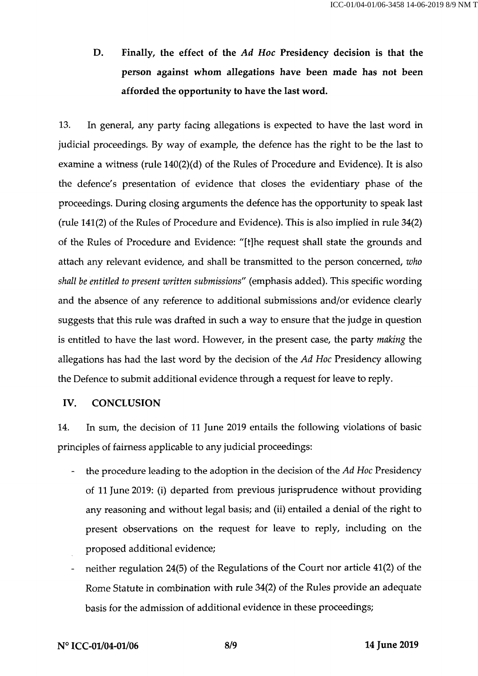D. Finally, the effect of the Ad Hoc Presidency decision is that the person against whom allegations have been made has not been afforded the opportunity to have the last word.

13. In general, any party facing allegations is expected to have the last word in judicial proceedings. By way of example, the defence has the right to be the last to examine a witness (rule 140(2)(d) of the Rules of Procedure and Evidence). It is also the defence's presentation of evidence that closes the evidentiary phase of the proceedings. During closing arguments the defence has the opportunity to speak last (rule 141(2) of the Rules of Procedure and Evidence). This is also implied in rule 34(2) of the Rules of Procedure and Evidence: "[t]he request shall state the grounds and attach any relevant evidence, and shall be transmitted to the person concerned, who shall be entitled to present written submissions" (emphasis added). This specific wording and the absence of any reference to additional submissions and/or evidence clearly suggests that this rule was drafted in such a way to ensure that the judge in question is entitled to have the last word. However, in the present case, the party making the allegations has had the last word by the decision of the Ad Hoc Presidency allowing the Defence to submit additional evidence through a request for leave to reply.

#### IV. CONCLUSION

14. In sum, the decision of 11 June 2019 entails the following violations of basic principles of fairness applicable to any judicial proceedings:

- the procedure leading to the adoption in the decision of the Ad Hoc Presidency  $\overline{a}$ of 11 June 2019: (i) departed from previous jurisprudence without providing any reasoning and without legal basis; and (ii) entailed a denial of the right to present observations on the request for leave to reply, including on the proposed additional evidence;
- neither regulation 24(5) of the Regulations of the Court nor article 41(2) of the Rome Statute in combination with rule 34(2) of the Rules provide an adequate basis for the admission of additional evidence in these proceedings;